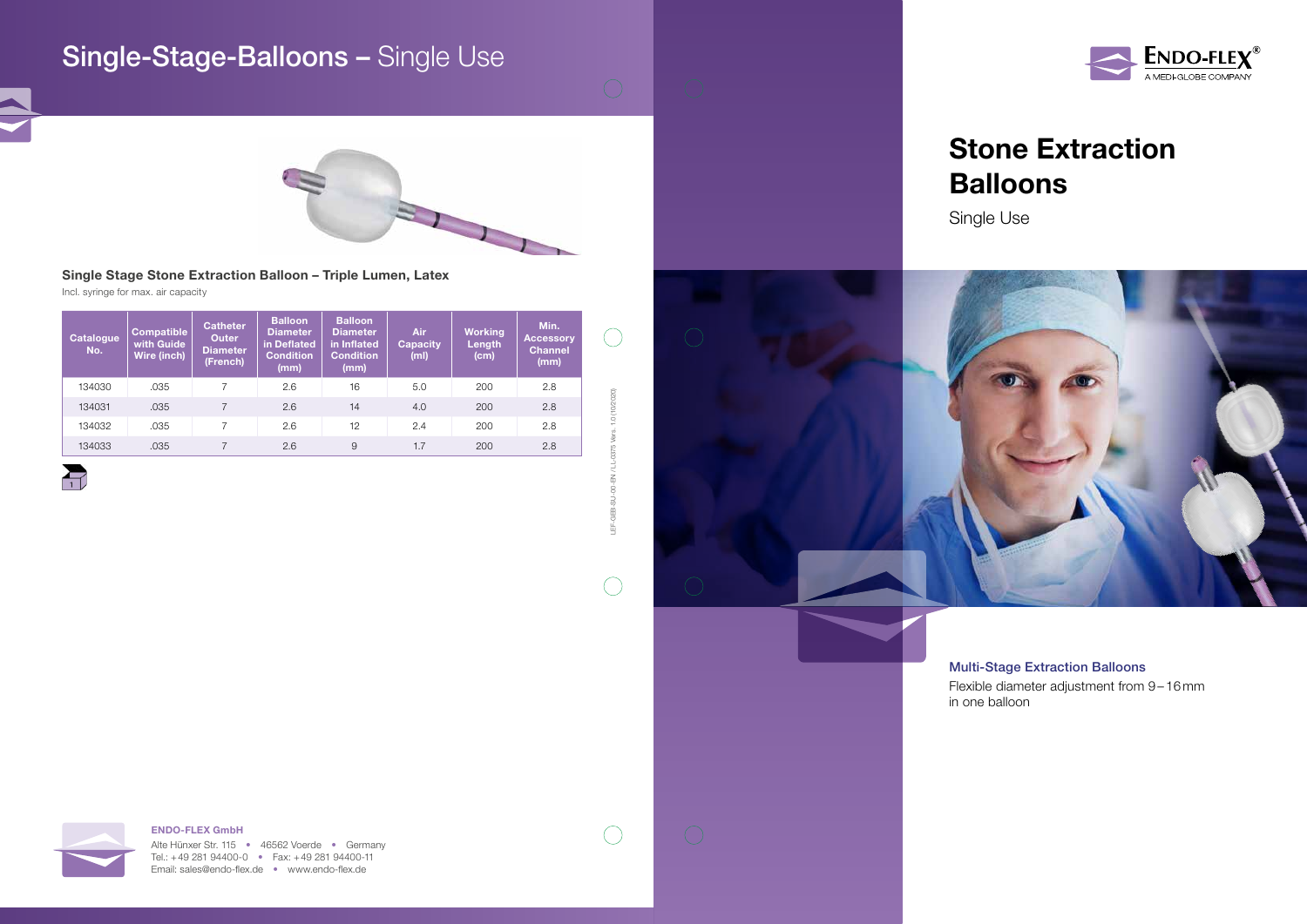# Stone Extraction Balloons

Single Use





### ENDO-FLEX GmbH

Alte Hünxer Str. 115 • 46562 Voerde • Germany Tel.: +49 281 94400-0 • Fax: +49 281 94400-11 Email: sales@endo-flex.de • www.endo-flex.de



LEF-GEB-SU-00-EN / LL-0375 Vers. 1.0 (10/2020)

Š  $\overline{z}$ GEB 鱼

 $\bigcirc$ 

 $\bigcirc$ 

## Single Stage Stone Extraction Balloon – Triple Lumen, Latex

Incl. syringe for max. air capacity

| <b>Catalogue</b><br>No. | <b>Compatible</b><br>with Guide<br>Wire (inch) | <b>Catheter</b><br><b>Outer</b><br><b>Diameter</b><br>(French) | <b>Balloon</b><br><b>Diameter</b><br>in Deflated<br><b>Condition</b><br>(mm) | <b>Balloon</b><br><b>Diameter</b><br>in Inflated<br><b>Condition</b><br>(mm) | <b>Air</b><br><b>Capacity</b><br>(ml) | <b>Working</b><br>Length<br>(cm) | Min.<br><b>Accessory</b><br><b>Channel</b><br>(mm) |                     |
|-------------------------|------------------------------------------------|----------------------------------------------------------------|------------------------------------------------------------------------------|------------------------------------------------------------------------------|---------------------------------------|----------------------------------|----------------------------------------------------|---------------------|
| 134030                  | .035                                           |                                                                | 2.6                                                                          | 16                                                                           | 5.0                                   | 200                              | 2.8                                                |                     |
| 134031                  | .035                                           |                                                                | 2.6                                                                          | 14                                                                           | 4.0                                   | 200                              | 2.8                                                | (10/2020)           |
| 134032                  | .035                                           |                                                                | 2.6                                                                          | 12                                                                           | 2.4                                   | 200                              | 2.8                                                | $\bigcirc$<br>Vers. |
| 134033                  | .035                                           |                                                                | 2.6                                                                          | 9                                                                            | 1.7                                   | 200                              | 2.8                                                | 0375                |



## Single-Stage-Balloons – Single Use